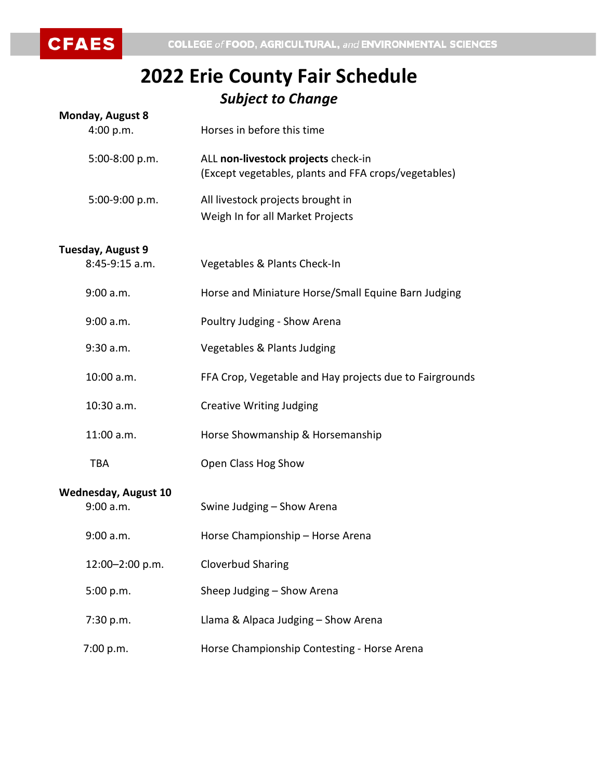**CFAES** 

## **2022 Erie County Fair Schedule** *Subject to Change*

| <b>Monday, August 8</b>     |                                                                                             |
|-----------------------------|---------------------------------------------------------------------------------------------|
| 4:00 p.m.                   | Horses in before this time                                                                  |
| 5:00-8:00 p.m.              | ALL non-livestock projects check-in<br>(Except vegetables, plants and FFA crops/vegetables) |
| 5:00-9:00 p.m.              | All livestock projects brought in<br>Weigh In for all Market Projects                       |
| Tuesday, August 9           |                                                                                             |
| 8:45-9:15 a.m.              | Vegetables & Plants Check-In                                                                |
| 9:00 a.m.                   | Horse and Miniature Horse/Small Equine Barn Judging                                         |
| 9:00 a.m.                   | Poultry Judging - Show Arena                                                                |
| 9:30 a.m.                   | Vegetables & Plants Judging                                                                 |
| 10:00 a.m.                  | FFA Crop, Vegetable and Hay projects due to Fairgrounds                                     |
| 10:30 a.m.                  | <b>Creative Writing Judging</b>                                                             |
| 11:00 a.m.                  | Horse Showmanship & Horsemanship                                                            |
| <b>TBA</b>                  | Open Class Hog Show                                                                         |
| <b>Wednesday, August 10</b> |                                                                                             |
| 9:00 a.m.                   | Swine Judging - Show Arena                                                                  |
| 9:00 a.m.                   | Horse Championship - Horse Arena                                                            |
| 12:00-2:00 p.m.             | <b>Cloverbud Sharing</b>                                                                    |
| 5:00 p.m.                   | Sheep Judging - Show Arena                                                                  |
| 7:30 p.m.                   | Llama & Alpaca Judging - Show Arena                                                         |
| 7:00 p.m.                   | Horse Championship Contesting - Horse Arena                                                 |